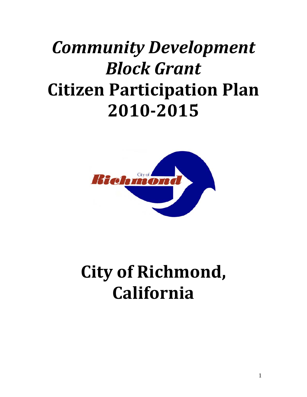# *Community Development Block Grant* **Citizen Participation Plan 20102015**



# **City of Richmond, California**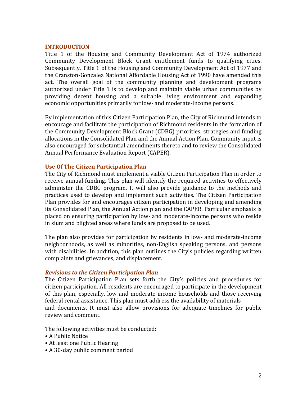#### **INTRODUCTION**

Title 1 of the Housing and Community Development Act of 1974 authorized Community Development Block Grant entitlement funds to qualifying cities. Subsequently, Title 1 of the Housing and Community Development Act of 1977 and the Cranston‐Gonzalez National Affordable Housing Act of 1990 have amended this act. The overall goal of the community planning and development programs authorized under Title 1 is to develop and maintain viable urban communities by providing decent housing and a suitable living environment and expanding economic opportunities primarily for low‐ and moderate‐income persons.

By implementation of this Citizen Participation Plan, the City of Richmond intends to encourage and facilitate the participation of Richmond residents in the formation of the Community Development Block Grant (CDBG) priorities, strategies and funding allocations in the Consolidated Plan and the Annual Action Plan. Community input is also encouraged for substantial amendments thereto and to review the Consolidated Annual Performance Evaluation Report (CAPER).

## **Use Of The Citizen Participation Plan**

The City of Richmond must implement a viable Citizen Participation Plan in order to receive annual funding. This plan will identify the required activities to effectively administer the CDBG program. It will also provide guidance to the methods and practices used to develop and implement such activities. The Citizen Participation Plan provides for and encourages citizen participation in developing and amending its Consolidated Plan, the Annual Action plan and the CAPER. Particular emphasis is placed on ensuring participation by low‐ and moderate‐income persons who reside in slum and blighted areas where funds are proposed to be used.

The plan also provides for participation by residents in low‐ and moderate‐income neighborhoods, as well as minorities, non‐English speaking persons, and persons with disabilities. In addition, this plan outlines the City's policies regarding written complaints and grievances, and displacement.

## *Revisions to the Citizen Participation Plan*

The Citizen Participation Plan sets forth the City's policies and procedures for citizen participation. All residents are encouraged to participate in the development of this plan, especially, low and moderate‐income households and those receiving federal rental assistance. This plan must address the availability of materials and documents. It must also allow provisions for adequate timelines for public review and comment.

The following activities must be conducted:

- A Public Notice
- At least one Public Hearing
- A 30‐day public comment period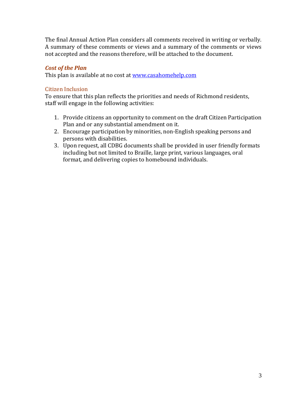The final Annual Action Plan considers all comments received in writing or verbally. A summary of these comments or views and a summary of the comments or views not accepted and the reasons therefore, will be attached to the document.

# *Cost of the Plan*

This plan is available at no cost at [www.casahomehelp.com](http://www.casahomehelp.com/)

# Citizen Inclusion

To ensure that this plan reflects the priorities and needs of Richmond residents, staff will engage in the following activities:

- 1. Provide citizens an opportunity to comment on the draft Citizen Participation Plan and or any substantial amendment on it.
- 2. Encourage participation by minorities, non-English speaking persons and persons with disabilities.
- 3. Upon request, all CDBG documents shall be provided in user friendly formats including but not limited to Braille, large print, various languages, oral format, and delivering copies to homebound individuals.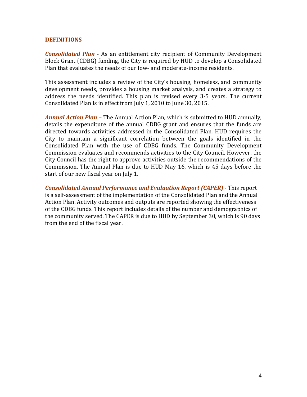## **DEFINITIONS**

*Consolidated Plan* - As an entitlement city recipient of Community Development Block Grant (CDBG) funding, the City is required by HUD to develop a Consolidated Plan that evaluates the needs of our low‐ and moderate‐income residents.

This assessment includes a review of the City's housing, homeless, and community development needs, provides a housing market analysis, and creates a strategy to address the needs identified. This plan is revised every 3-5 years. The current Consolidated Plan is in effect from July 1, 2010 to June 30, 2015.

*Annual Action Plan* – The Annual Action Plan, which is submitted to HUD annually, details the expenditure of the annual CDBG grant and ensures that the funds are directed towards activities addressed in the Consolidated Plan. HUD requires the City to maintain a significant correlation between the goals identified in the Consolidated Plan with the use of CDBG funds. The Community Development Commission evaluates and recommends activities to the City Council. However, the City Council has the right to approve activities outside the recommendations of the Commission. The Annual Plan is due to HUD May 16, which is 45 days before the start of our new fiscal year on July 1.

*Consolidated Annual Performance and Evaluation Report (CAPER)* This report is a self‐assessment of the implementation of the Consolidated Plan and the Annual Action Plan. Activity outcomes and outputs are reported showing the effectiveness of the CDBG funds. This report includes details of the number and demographics of the community served. The CAPER is due to HUD by September 30, which is 90 days from the end of the fiscal year.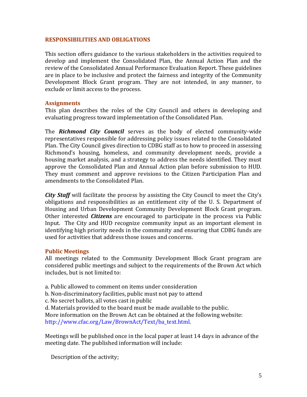## **RESPONSIBILITIES AND OBLIGATIONS**

This section offers guidance to the various stakeholders in the activities required to develop and implement the Consolidated Plan, the Annual Action Plan and the review of the Consolidated Annual Performance Evaluation Report. These guidelines are in place to be inclusive and protect the fairness and integrity of the Community Development Block Grant program. They are not intended, in any manner, to exclude or limit access to the process.

## **Assignments**

This plan describes the roles of the City Council and others in developing and evaluating progress toward implementation of the Consolidated Plan.

The *Richmond City Council* serves as the body of elected community‐wide representatives responsible for addressing policy issues related to the Consolidated Plan. The City Council gives direction to CDBG staff as to how to proceed in assessing Richmond's housing, homeless, and community development needs, provide a housing market analysis, and a strategy to address the needs identified. They must approve the Consolidated Plan and Annual Action plan before submission to HUD. They must comment and approve revisions to the Citizen Participation Plan and amendments to the Consolidated Plan.

*City Staff* will facilitate the process by assisting the City Council to meet the City's obligations and responsibilities as an entitlement city of the U. S. Department of Housing and Urban Development Community Development Block Grant program. Other interested *Citizens* are encouraged to participate in the process via Public Input. The City and HUD recognize community input as an important element in dentifying high priority needs in the community and ensuring that CDBG funds are i used for activities that address those issues and concerns.

## **Public Meetings**

All meetings related to the Community Development Block Grant program are considered public meetings and subject to the requirements of the Brown Act which includes, but is not limited to:

- a. Public allowed to comment on items under consideration
- b. Non‐discriminatory facilities, public must not pay to attend
- c. No secret ballots, all votes cast in public
- d. Materials provided to the board must be made available to the public.

More information on the Brown Act can be obtained at the following website: http://www.cfac.org/Law/BrownAct/Text/ba\_text.html.

Meetings will be published once in the local paper at least 14 days in advance of the meeting date. The published information will include:

Description of the activity;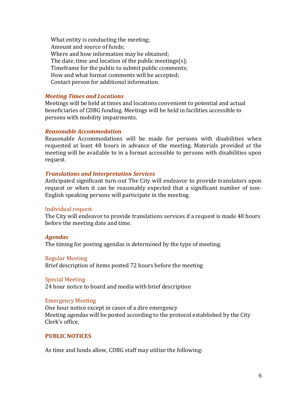What entity is conducting the meeting; Amount and source of funds; Where and how information may be obtained; The date, time and location of the public meetings(s); Timeframe for the public to submit public comments; How and what format comments will be accepted; Contact person for additional information.

## *Meeting Times and Locations*

Meetings will be held at times and locations convenient to potential and actual beneficiaries of CDBG funding. Meetings will be held in facilities accessible to persons with mobility impairments.

# *Reasonable Accommodation*

Reasonable Accommodations will be made for persons with disabilities when requested at least 48 hours in advance of the meeting. Materials provided at the meeting will be available to in a format accessible to persons with disabilities upon request.

# *Translations and Interpretation Services*

Anticipated significant turn‐out The City will endeavor to provide translators upon request or when it can be reasonably expected that a significant number of non-English speaking persons will participate in the meeting.

## Individual request

The City will endeavor to provide translations services if a request is made 48 hours before the meeting date and time.

# *gendas A*

The timing for posting agendas is determined by the type of meeting.

## **Regular Meeting**

Brief description of items posted 72 hours before the meeting

## **Special Meeting**

24 hour notice to board and media with brief description

# Emergency Meeting

One hour notice except in cases of a dire emergency Meeting agendas will be posted according to the protocol established by the City lerk's office. C

# **PUBLIC NOTICES**

As time and funds allow, CDBG staff may utilize the following: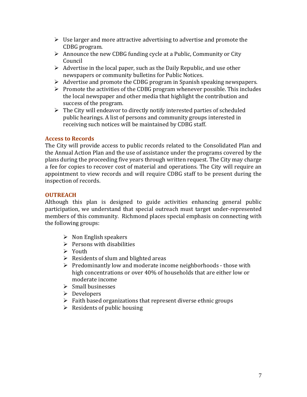- $\triangleright$  Use larger and more attractive advertising to advertise and promote the CDBG program.
- $\triangleright$  Announce the new CDBG funding cycle at a Public, Community or City Council
- $\triangleright$  Advertise in the local paper, such as the Daily Republic, and use other newspapers or community bulletins for Public Notices.
- ¾ Advertise and promote the CDBG program in Spanish speaking newspapers.
- $\triangleright$  Promote the activities of the CDBG program whenever possible. This includes the local newspaper and other media that highlight the contribution and success of the program.
- $\triangleright$  The City will endeavor to directly notify interested parties of scheduled public hearings. A list of persons and community groups interested in receiving such notices will be maintained by CDBG staff.

# **Access to Records**

The City will provide access to public records related to the Consolidated Plan and the Annual Action Plan and the use of assistance under the programs covered by the plans during the proceeding five years through written request. The City may charge a fee for copies to recover cost of material and operations. The City will require an appointment to view records and will require CDBG staff to be present during the inspection of records.

# **OUTREACH**

Although this plan is designed to guide activities enhancing general public participation, we understand that special outreach must target under‐represented members of this community. Richmond places special emphasis on connecting with the following groups:

- $\triangleright$  Non English speakers
- $\triangleright$  Persons with disabilities
- ¾ Youth
- $\triangleright$  Residents of slum and blighted areas
- $\triangleright$  Predominantly low and moderate income neighborhoods those with high concentrations or over 40% of households that are either low or moderate income
- ¾ Small businesses
- ¾ Developers
- $\triangleright$  Faith based organizations that represent diverse ethnic groups
- $\triangleright$  Residents of public housing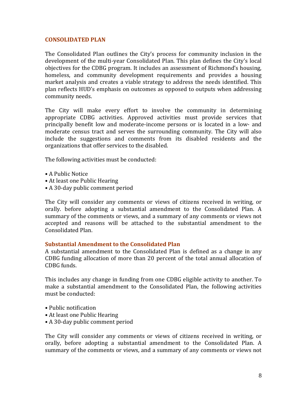## **CONSOLIDATED PLAN**

The Consolidated Plan outlines the City's process for community inclusion in the development of the multi‐year Consolidated Plan. This plan defines the City's local objectives for the CDBG program. It includes an assessment of Richmond's housing, homeless, and community development requirements and provides a housing market analysis and creates a viable strategy to address the needs identified. This plan reflects HUD's emphasis on outcomes as opposed to outputs when addressing community needs.

The City will make every effort to involve the community in determining appropriate CDBG activities. Approved activities must provide services that principally benefit low and moderate‐income persons or is located in a low‐ and moderate census tract and serves the surrounding community. The City will also nclude the suggestions and comments from its disabled residents and the i organizations that offer services to the disabled.

The following activities must be conducted:

- A Public Notice
- At least one Public Hearing
- A 30‐day public comment period

The City will consider any comments or views of citizens received in writing, or orally. before adopting a substantial amendment to the Consolidated Plan. A summary of the comments or views, and a summary of any comments or views not accepted and reasons will be attached to the substantial amendment to the Consolidated Plan.

## **Substantial Amendment to the Consolidated Plan**

A substantial amendment to the Consolidated Plan is defined as a change in any CDBG funding allocation of more than 20 percent of the total annual allocation of CDBG funds.

This includes any change in funding from one CDBG eligible activity to another. To make a substantial amendment to the Consolidated Plan, the following activities must be conducted:

- Public notification
- At least one Public Hearing
- A 30‐day public comment period

The City will consider any comments or views of citizens received in writing, or orally, before adopting a substantial amendment to the Consolidated Plan. A summary of the comments or views, and a summary of any comments or views not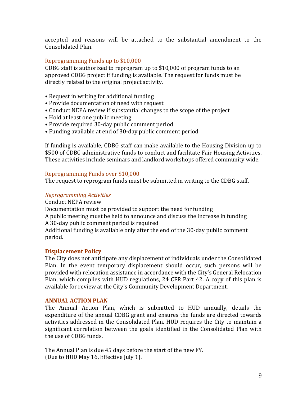accepted and reasons will be attached to the substantial amendment to the Consolidated Plan.

# Reprogramming Funds up to \$10,000

CDBG staff is authorized to reprogram up to \$10,000 of program funds to an approved CDBG project if funding is available. The request for funds must be directly related to the original project activity.

- Request in writing for additional funding
- Provide documentation of need with request
- Conduct NEPA review if substantial changes to the scope of the project
- Hold at least one public meeting
- Provide required 30‐day public comment period
- Funding available at end of 30‐day public comment period

If funding is available, CDBG staff can make available to the Housing Division up to 500 of CDBG administrative funds to conduct and facilitate Fair Housing Activities. \$ These activities include seminars and landlord workshops offered community wide.

## Reprogramming Funds over \$10,000

The request to reprogram funds must be submitted in writing to the CDBG staff.

# *Reprogramming Activities*

## Conduct NEPA review

Documentation must be provided to support the need for funding

A public meeting must be held to announce and discuss the increase in funding A 30‐day public comment period is required

Additional funding is available only after the end of the 30‐day public comment period.

## **Displacement Policy**

The City does not anticipate any displacement of individuals under the Consolidated Plan. In the event temporary displacement should occur, such persons will be provided with relocation assistance in accordance with the City's General Relocation Plan, which complies with HUD regulations, 24 CFR Part 42. A copy of this plan is available for review at the City's Community Development Department.

## **ANNUAL ACTION PLAN**

The Annual Action Plan, which is submitted to HUD annually, details the expenditure of the annual CDBG grant and ensures the funds are directed towards activities addressed in the Consolidated Plan. HUD requires the City to maintain a significant correlation between the goals identified in the Consolidated Plan with the use of CDBG funds.

The Annual Plan is due 45 days before the start of the new FY. (Due to HUD May 16, Effective July 1).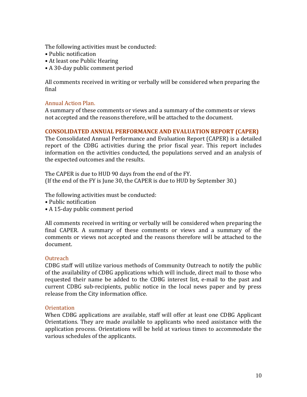The following activities must be conducted:

- Public notification
- At least one Public Hearing
- A 30‐day public comment period

All comments received in writing or verbally will be considered when preparing the final

# Annual Action Plan.

A summary of these comments or views and a summary of the comments or views not accepted and the reasons therefore, will be attached to the document.

## **CONSOLIDATED ANNUAL PERFORMANCE AND EVALUATION REPORT (CAPER)**

The Consolidated Annual Performance and Evaluation Report (CAPER) is a detailed report of the CDBG activities during the prior fiscal year. This report includes information on the activities conducted, the populations served and an analysis of the expected outcomes and the results.

The CAPER is due to HUD 90 days from the end of the FY. (If the end of the FY is June 30, the CAPER is due to HUD by September 30.)

The following activities must be conducted:

- Public notification
- A 15‐day public comment period

All comments received in writing or verbally will be considered when preparing the final CAPER. A summary of these comments or views and a summary of the comments or views not accepted and the reasons therefore will be attached to the document.

## **Outreach**

CDBG staff will utilize various methods of Community Outreach to notify the public of the availability of CDBG applications which will include, direct mail to those who requested their name be added to the CDBG interest list, e-mail to the past and current CDBG sub-recipients, public notice in the local news paper and by press release from the City information office.

## **Orientation**

When CDBG applications are available, staff will offer at least one CDBG Applicant Orientations. They are made available to applicants who need assistance with the application process. Orientations will be held at various times to accommodate the various schedules of the applicants.